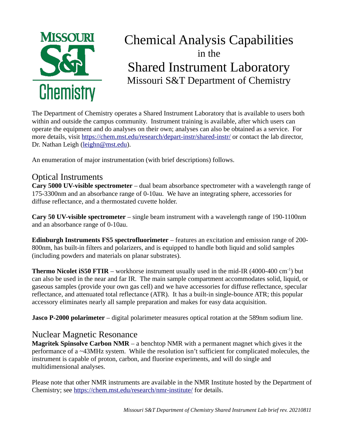

# Chemical Analysis Capabilities in the Shared Instrument Laboratory Missouri S&T Department of Chemistry

The Department of Chemistry operates a Shared Instrument Laboratory that is available to users both within and outside the campus community. Instrument training is available, after which users can operate the equipment and do analyses on their own; analyses can also be obtained as a service. For more details, visit<https://chem.mst.edu/research/depart-instr/shared-instr/>or contact the lab director, Dr. Nathan Leigh [\(leighn@mst.edu](mailto:leighn@mst.edu)).

An enumeration of major instrumentation (with brief descriptions) follows.

### Optical Instruments

**Cary 5000 UV-visible spectrometer** – dual beam absorbance spectrometer with a wavelength range of 175-3300nm and an absorbance range of 0-10au. We have an integrating sphere, accessories for diffuse reflectance, and a thermostated cuvette holder.

**Cary 50 UV-visible spectrometer** – single beam instrument with a wavelength range of 190-1100nm and an absorbance range of 0-10au.

**Edinburgh Instruments FS5 spectrofluorimeter** – features an excitation and emission range of 200- 800nm, has built-in filters and polarizers, and is equipped to handle both liquid and solid samples (including powders and materials on planar substrates).

**Thermo Nicolet iS50 FTIR** – workhorse instrument usually used in the mid-IR (4000-400 cm<sup>-1</sup>) but can also be used in the near and far IR. The main sample compartment accommodates solid, liquid, or gaseous samples (provide your own gas cell) and we have accessories for diffuse reflectance, specular reflectance, and attenuated total reflectance (ATR). It has a built-in single-bounce ATR; this popular accessory eliminates nearly all sample preparation and makes for easy data acquisition.

**Jasco P-2000 polarimeter** – digital polarimeter measures optical rotation at the 589nm sodium line.

### Nuclear Magnetic Resonance

**Magritek Spinsolve Carbon NMR** – a benchtop NMR with a permanent magnet which gives it the performance of a ~43MHz system. While the resolution isn't sufficient for complicated molecules, the instrument is capable of proton, carbon, and fluorine experiments, and will do single and multidimensional analyses.

Please note that other NMR instruments are available in the NMR Institute hosted by the Department of Chemistry; see<https://chem.mst.edu/research/nmr-institute/> for details.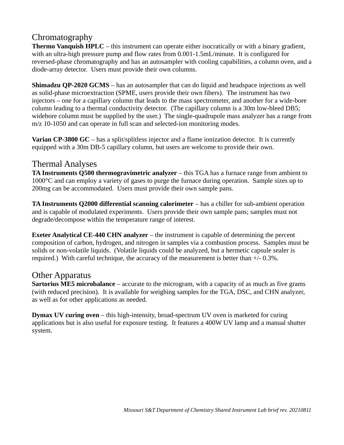## Chromatography

**Thermo Vanquish HPLC** – this instrument can operate either isocratically or with a binary gradient, with an ultra-high pressure pump and flow rates from 0.001-1.5mL/minute. It is configured for reversed-phase chromatography and has an autosampler with cooling capabilities, a column oven, and a diode-array detector. Users must provide their own columns.

**Shimadzu QP-2020 GCMS** – has an autosampler that can do liquid and headspace injections as well as solid-phase microextraction (SPME, users provide their own fibers). The instrument has two injectors – one for a capillary column that leads to the mass spectrometer, and another for a wide-bore column leading to a thermal conductivity detector. (The capillary column is a 30m low-bleed DB5; widebore column must be supplied by the user.) The single-quadrupole mass analyzer has a range from m/z 10-1050 and can operate in full scan and selected-ion monitoring modes.

**Varian CP-3800 GC** – has a split/splitless injector and a flame ionization detector. It is currently equipped with a 30m DB-5 capillary column, but users are welcome to provide their own.

#### Thermal Analyses

**TA Instruments Q500 thermogravimetric analyzer** – this TGA has a furnace range from ambient to 1000°C and can employ a variety of gases to purge the furnace during operation. Sample sizes up to 200mg can be accommodated. Users must provide their own sample pans.

**TA Instruments Q2000 differential scanning calorimeter** – has a chiller for sub-ambient operation and is capable of modulated experiments. Users provide their own sample pans; samples must not degrade/decompose within the temperature range of interest.

**Exeter Analytical CE-440 CHN analyzer** – the instrument is capable of determining the percent composition of carbon, hydrogen, and nitrogen in samples via a combustion process. Samples must be solids or non-volatile liquids. (Volatile liquids could be analyzed, but a hermetic capsule sealer is required.) With careful technique, the accuracy of the measurement is better than  $+/- 0.3\%$ .

#### Other Apparatus

**Sartorius ME5 microbalance** – accurate to the microgram, with a capacity of as much as five grams (with reduced precision). It is available for weighing samples for the TGA, DSC, and CHN analyzer, as well as for other applications as needed.

**Dymax UV curing oven** – this high-intensity, broad-spectrum UV oven is marketed for curing applications but is also useful for exposure testing. It features a 400W UV lamp and a manual shutter system.